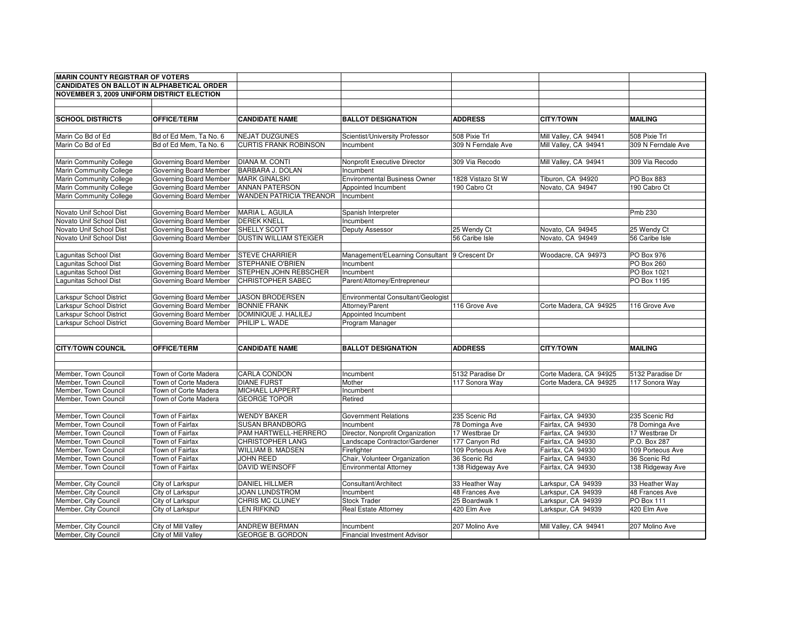| <b>MARIN COUNTY REGISTRAR OF VOTERS</b>           |                        |                                |                                               |                    |                        |                    |
|---------------------------------------------------|------------------------|--------------------------------|-----------------------------------------------|--------------------|------------------------|--------------------|
| <b>CANDIDATES ON BALLOT IN ALPHABETICAL ORDER</b> |                        |                                |                                               |                    |                        |                    |
| NOVEMBER 3, 2009 UNIFORM DISTRICT ELECTION        |                        |                                |                                               |                    |                        |                    |
|                                                   |                        |                                |                                               |                    |                        |                    |
|                                                   |                        |                                |                                               |                    |                        |                    |
| <b>SCHOOL DISTRICTS</b>                           | <b>OFFICE/TERM</b>     | <b>CANDIDATE NAME</b>          | <b>BALLOT DESIGNATION</b>                     | <b>ADDRESS</b>     | <b>CITY/TOWN</b>       | <b>MAILING</b>     |
|                                                   |                        |                                |                                               |                    |                        |                    |
| Marin Co Bd of Ed                                 | Bd of Ed Mem, Ta No. 6 | <b>NEJAT DUZGUNES</b>          | Scientist/University Professor                | 508 Pixie Trl      | Mill Valley, CA 94941  | 508 Pixie Trl      |
| Marin Co Bd of Ed                                 | Bd of Ed Mem, Ta No. 6 | <b>CURTIS FRANK ROBINSON</b>   | Incumbent                                     | 309 N Ferndale Ave | Mill Valley, CA 94941  | 309 N Ferndale Ave |
|                                                   |                        |                                |                                               |                    |                        |                    |
| Marin Community College                           | Governing Board Member | DIANA M. CONTI                 | Nonprofit Executive Director                  | 309 Via Recodo     | Mill Valley, CA 94941  | 309 Via Recodo     |
| Marin Community College                           | Governing Board Member | BARBARA J. DOLAN               | Incumbent                                     |                    |                        |                    |
| Marin Community College                           | Governing Board Member | <b>MARK GINALSKI</b>           | <b>Environmental Business Owner</b>           | 1828 Vistazo St W  | Tiburon, CA 94920      | PO Box 883         |
| Marin Community College                           | Governing Board Member | <b>ANNAN PATERSON</b>          | Appointed Incumbent                           | 190 Cabro Ct       | Novato, CA 94947       | 190 Cabro Ct       |
| Marin Community College                           | Governing Board Member | <b>WANDEN PATRICIA TREANOR</b> | Incumbent                                     |                    |                        |                    |
|                                                   |                        |                                |                                               |                    |                        |                    |
| Novato Unif School Dist                           | Governing Board Member | MARIA L. AGUILA                | Spanish Interpreter                           |                    |                        | Pmb 230            |
| Novato Unif School Dist                           | Governing Board Member | <b>DEREK KNELL</b>             | Incumbent                                     |                    |                        |                    |
| Novato Unif School Dist                           | Governing Board Member | SHELLY SCOTT                   | Deputy Assessor                               | 25 Wendy Ct        | Novato, CA 94945       | 25 Wendy Ct        |
| Novato Unif School Dist                           | Governing Board Member | <b>DUSTIN WILLIAM STEIGER</b>  |                                               | 56 Caribe Isle     | Novato, CA 94949       | 56 Caribe Isle     |
|                                                   |                        |                                |                                               |                    |                        |                    |
| Lagunitas School Dist                             | Governing Board Member | <b>STEVE CHARRIER</b>          | Management/ELearning Consultant 9 Crescent Dr |                    | Woodacre, CA 94973     | PO Box 976         |
| Lagunitas School Dist                             | Governing Board Member | <b>STEPHANIE O'BRIEN</b>       | Incumbent                                     |                    |                        | PO Box 260         |
| Lagunitas School Dist                             | Governing Board Member | STEPHEN JOHN REBSCHER          | Incumbent                                     |                    |                        | PO Box 1021        |
| Lagunitas School Dist                             | Governing Board Member | <b>CHRISTOPHER SABEC</b>       | Parent/Attorney/Entrepreneur                  |                    |                        | PO Box 1195        |
|                                                   |                        |                                |                                               |                    |                        |                    |
| arkspur School District                           | Governing Board Member | <b>JASON BRODERSEN</b>         | Environmental Consultant/Geologist            |                    |                        |                    |
| arkspur School District                           | Governing Board Member | <b>BONNIE FRANK</b>            | Attorney/Parent                               | 116 Grove Ave      | Corte Madera, CA 94925 | 116 Grove Ave      |
| Larkspur School District                          | Governing Board Member | DOMINIQUE J. HALILEJ           | Appointed Incumbent                           |                    |                        |                    |
| Larkspur School District                          | Governing Board Member | PHILIP L. WADE                 | Program Manager                               |                    |                        |                    |
|                                                   |                        |                                |                                               |                    |                        |                    |
|                                                   |                        |                                |                                               |                    |                        |                    |
| <b>CITY/TOWN COUNCIL</b>                          | <b>OFFICE/TERM</b>     | <b>CANDIDATE NAME</b>          | <b>BALLOT DESIGNATION</b>                     | <b>ADDRESS</b>     | <b>CITY/TOWN</b>       | <b>MAILING</b>     |
|                                                   |                        |                                |                                               |                    |                        |                    |
|                                                   |                        |                                |                                               |                    |                        |                    |
| Member, Town Council                              | Town of Corte Madera   | CARLA CONDON                   | Incumbent                                     | 5132 Paradise Dr   | Corte Madera, CA 94925 | 5132 Paradise Dr   |
| Member, Town Council                              | Town of Corte Madera   | <b>DIANE FURST</b>             | Mother                                        | 117 Sonora Way     | Corte Madera, CA 94925 | 117 Sonora Way     |
| Member, Town Council                              | Town of Corte Madera   | MICHAEL LAPPERT                | Incumbent                                     |                    |                        |                    |
| Member, Town Council                              | Town of Corte Madera   | <b>GEORGE TOPOR</b>            | Retired                                       |                    |                        |                    |
|                                                   |                        |                                |                                               |                    |                        |                    |
| Member, Town Council                              | Town of Fairfax        | <b>WENDY BAKER</b>             | <b>Government Relations</b>                   | 235 Scenic Rd      | Fairfax, CA 94930      | 235 Scenic Rd      |
| Member, Town Council                              | Town of Fairfax        | <b>SUSAN BRANDBORG</b>         | Incumbent                                     | 78 Dominga Ave     | Fairfax, CA 94930      | 78 Dominga Ave     |
| Member, Town Council                              | Town of Fairfax        | PAM HARTWELL-HERRERO           | Director, Nonprofit Organization              | 17 Westbrae Dr     | Fairfax, CA 94930      | 17 Westbrae Dr     |
| Member, Town Council                              | Town of Fairfax        | <b>CHRISTOPHER LANG</b>        | Landscape Contractor/Gardener                 | 177 Canyon Rd      | Fairfax, CA 94930      | P.O. Box 287       |
| Member, Town Council                              | Town of Fairfax        | <b>WILLIAM B. MADSEN</b>       | Firefighter                                   | 109 Porteous Ave   | Fairfax, CA 94930      | 109 Porteous Ave   |
| Member, Town Council                              | Town of Fairfax        | <b>JOHN REED</b>               | Chair, Volunteer Organization                 | 36 Scenic Rd       | Fairfax, CA 94930      | 36 Scenic Rd       |
| Member, Town Council                              | Town of Fairfax        | DAVID WEINSOFF                 | <b>Environmental Attorney</b>                 | 138 Ridgeway Ave   | Fairfax, CA 94930      | 138 Ridgeway Ave   |
|                                                   |                        |                                |                                               |                    |                        |                    |
| Member, City Council                              | City of Larkspur       | DANIEL HILLMER                 | Consultant/Architect                          | 33 Heather Way     | Larkspur, CA 94939     | 33 Heather Way     |
| Member, City Council                              | City of Larkspur       | JOAN LUNDSTROM                 | Incumbent                                     | 48 Frances Ave     | Larkspur, CA 94939     | 48 Frances Ave     |
| Member, City Council                              | City of Larkspur       | <b>CHRIS MC CLUNEY</b>         | <b>Stock Trader</b>                           | 25 Boardwalk 1     | Larkspur, CA 94939     | PO Box 111         |
| Member, City Council                              | City of Larkspur       | <b>EN RIFKIND</b>              | <b>Real Estate Attorney</b>                   | 420 Elm Ave        | Larkspur, CA 94939     | 420 Elm Ave        |
|                                                   |                        |                                |                                               |                    |                        |                    |
| Member, City Council                              | City of Mill Valley    | <b>ANDREW BERMAN</b>           | Incumbent                                     | 207 Molino Ave     | Mill Valley, CA 94941  | 207 Molino Ave     |
| Member, City Council                              | City of Mill Valley    | <b>GEORGE B. GORDON</b>        | <b>Financial Investment Advisor</b>           |                    |                        |                    |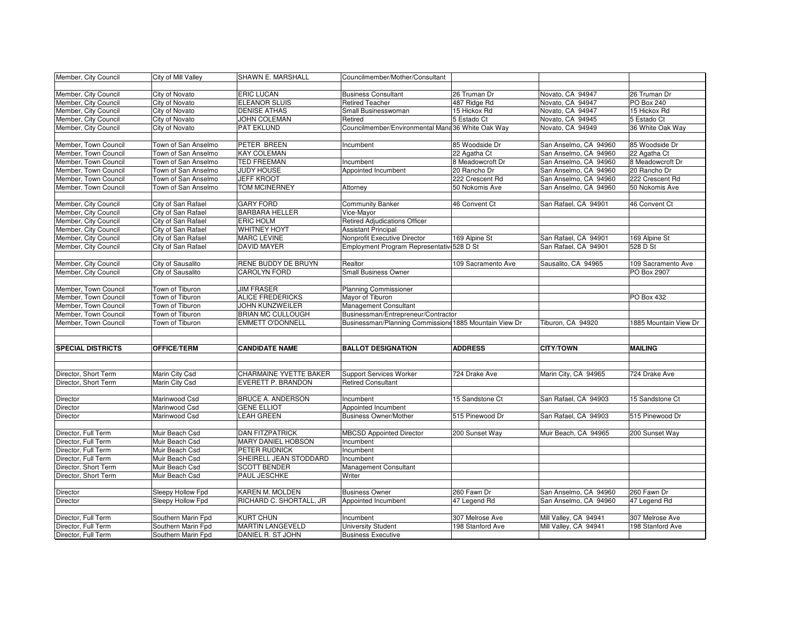| Member, City Council<br><b>ERIC LUCAN</b><br><b>Business Consultant</b><br>City of Novato<br>26 Truman Dr<br>Novato, CA 94947<br>26 Truman Dr<br>City of Novato<br>487 Ridge Rd<br>PO Box 240<br>Member, City Council<br><b>ELEANOR SLUIS</b><br><b>Retired Teacher</b><br>Novato, CA 94947<br>Member, City Council<br>City of Novato<br><b>DENISE ATHAS</b><br>Small Businesswoman<br>15 Hickox Rd<br>Novato, CA 94947<br>15 Hickox Rd<br>City of Novato<br>5 Estado Ct<br>Novato, CA 94945<br>5 Estado Ct<br>Member, City Council<br>JOHN COLEMAN<br>Retired<br>City of Novato<br>36 White Oak Way<br>Member, City Council<br>PAT EKLUND<br>Councilmember/Environmental Mana 36 White Oak Way<br>Novato, CA 94949<br>Town of San Anselmo<br>PETER BREEN<br>85 Woodside Dr<br>San Anselmo, CA 94960<br>85 Woodside Dr<br>Member, Town Council<br>Incumbent<br>Town of San Anselmo<br><b>KAY COLEMAN</b><br>22 Agatha Ct<br>22 Agatha Ct<br>Member, Town Council<br>San Anselmo, CA 94960<br>Member, Town Council<br><b>TED FREEMAN</b><br>8 Meadowcroft Dr<br>8 Meadowcroft Dr<br>Town of San Anselmo<br>Incumbent<br>San Anselmo, CA 94960<br>20 Rancho Dr<br>Member, Town Council<br>Town of San Anselmo<br><b>JUDY HOUSE</b><br>Appointed Incumbent<br>20 Rancho Dr<br>San Anselmo, CA 94960<br>Member, Town Council<br>Town of San Anselmo<br><b>JEFF KROOT</b><br>222 Crescent Rd<br>San Anselmo, CA 94960<br>222 Crescent Rd<br>Member, Town Council<br>Town of San Anselmo<br><b>TOM MCINERNEY</b><br>50 Nokomis Ave<br>San Anselmo, CA 94960<br>50 Nokomis Ave<br>Attorney<br><b>GARY FORD</b><br>46 Convent Ct<br>San Rafael, CA 94901<br>46 Convent Ct<br>Member, City Council<br>City of San Rafael<br><b>Community Banker</b><br>Member, City Council<br>City of San Rafael<br><b>BARBARA HELLER</b><br>Vice-Mayor<br>Member, City Council<br>City of San Rafael<br>Retired Adjudications Officer<br><b>ERIC HOLM</b><br><b>Assistant Principal</b><br>Member, City Council<br>City of San Rafael<br><b>WHITNEY HOYT</b><br>Nonprofit Executive Director<br>Member, City Council<br>City of San Rafael<br><b>MARC LEVINE</b><br>169 Alpine St<br>San Rafael, CA 94901<br>169 Alpine St<br><b>DAVID MAYER</b><br>Employment Program Representativ 528 D St<br>528 D St<br>Member, City Council<br>City of San Rafael<br>San Rafael, CA 94901<br>RENE BUDDY DE BRUYN<br>Member, City Council<br>City of Sausalito<br>Realtor<br>Sausalito, CA 94965<br>109 Sacramento Ave<br>109 Sacramento Ave<br>City of Sausalito<br>CAROLYN FORD<br><b>Small Business Owner</b><br>PO Box 2907<br>Member, City Council<br>Member, Town Council<br>Town of Tiburon<br><b>JIM FRASER</b><br><b>Planning Commissioner</b><br>Town of Tiburon<br>Mayor of Tiburon<br>Member, Town Council<br><b>ALICE FREDERICKS</b><br>PO Box 432<br>Town of Tiburon<br>Member, Town Council<br>JOHN KUNZWEILER<br><b>Management Consultant</b><br>Businessman/Entrepreneur/Contractor<br>Member, Town Council<br>Town of Tiburon<br><b>BRIAN MC CULLOUGH</b><br>Businessman/Planning Commissione 1885 Mountain View Dr<br>Member, Town Council<br>Town of Tiburon<br><b>EMMETT O'DONNELL</b><br>Tiburon, CA 94920<br>1885 Mountain View Dr<br><b>SPECIAL DISTRICTS</b><br><b>OFFICE/TERM</b><br><b>BALLOT DESIGNATION</b><br><b>ADDRESS</b><br><b>CITY/TOWN</b><br><b>MAILING</b><br><b>CANDIDATE NAME</b><br>Director, Short Term<br>Marin City Csd<br><b>CHARMAINE YVETTE BAKER</b><br><b>Support Services Worker</b><br>724 Drake Ave<br>Marin City, CA 94965<br>724 Drake Ave<br>Marin City Csd<br>Director, Short Term<br>EVERETT P. BRANDON<br><b>Retired Consultant</b><br>15 Sandstone Ct<br>15 Sandstone Ct<br>Director<br>Marinwood Csd<br><b>BRUCE A. ANDERSON</b><br>San Rafael, CA 94903<br>Incumbent<br>Marinwood Csd<br><b>GENE ELLIOT</b><br>Director<br>Appointed Incumbent<br>Marinwood Csd<br>LEAH GREEN<br><b>Business Owner/Mother</b><br>515 Pinewood Dr<br>San Rafael, CA 94903<br>515 Pinewood Dr<br>Director<br><b>MBCSD Appointed Director</b><br>Director, Full Term<br>Muir Beach Csd<br><b>DAN FITZPATRICK</b><br>200 Sunset Way<br>Muir Beach, CA 94965<br>200 Sunset Way<br><b>MARY DANIEL HOBSON</b><br>Director, Full Term<br>Muir Beach Csd<br>Incumbent<br>PETER RUDNICK<br>Director, Full Term<br>Muir Beach Csd<br>Incumbent<br>Muir Beach Csd<br>SHEIRELL JEAN STODDARD<br>Director, Full Term<br>Incumbent<br>Muir Beach Csd<br><b>SCOTT BENDER</b><br>Management Consultant<br>Director, Short Term<br>PAUL JESCHKE<br>Director, Short Term<br>Muir Beach Csd<br>Writer<br>260 Fawn Dr<br>Director<br>Sleepy Hollow Fpd<br>KAREN M. MOLDEN<br><b>Business Owner</b><br>260 Fawn Dr<br>San Anselmo, CA 94960<br>Sleepy Hollow Fpd<br>RICHARD C. SHORTALL, JR<br>Appointed Incumbent<br>47 Legend Rd<br>San Anselmo, CA 94960<br>47 Legend Rd<br>Director<br>Southern Marin Fpd<br><b>KURT CHUN</b><br>307 Melrose Ave<br>Mill Valley, CA 94941<br>307 Melrose Ave<br>Director, Full Term<br>Incumbent<br><b>MARTIN LANGEVELD</b><br>Mill Valley, CA 94941<br>Director, Full Term<br>Southern Marin Fpd<br><b>University Student</b><br>198 Stanford Ave<br>198 Stanford Ave<br>Director, Full Term<br>Southern Marin Fpd<br>DANIEL R. ST JOHN<br><b>Business Executive</b> | Member, City Council | City of Mill Valley | SHAWN E. MARSHALL | Councilmember/Mother/Consultant |  |  |
|------------------------------------------------------------------------------------------------------------------------------------------------------------------------------------------------------------------------------------------------------------------------------------------------------------------------------------------------------------------------------------------------------------------------------------------------------------------------------------------------------------------------------------------------------------------------------------------------------------------------------------------------------------------------------------------------------------------------------------------------------------------------------------------------------------------------------------------------------------------------------------------------------------------------------------------------------------------------------------------------------------------------------------------------------------------------------------------------------------------------------------------------------------------------------------------------------------------------------------------------------------------------------------------------------------------------------------------------------------------------------------------------------------------------------------------------------------------------------------------------------------------------------------------------------------------------------------------------------------------------------------------------------------------------------------------------------------------------------------------------------------------------------------------------------------------------------------------------------------------------------------------------------------------------------------------------------------------------------------------------------------------------------------------------------------------------------------------------------------------------------------------------------------------------------------------------------------------------------------------------------------------------------------------------------------------------------------------------------------------------------------------------------------------------------------------------------------------------------------------------------------------------------------------------------------------------------------------------------------------------------------------------------------------------------------------------------------------------------------------------------------------------------------------------------------------------------------------------------------------------------------------------------------------------------------------------------------------------------------------------------------------------------------------------------------------------------------------------------------------------------------------------------------------------------------------------------------------------------------------------------------------------------------------------------------------------------------------------------------------------------------------------------------------------------------------------------------------------------------------------------------------------------------------------------------------------------------------------------------------------------------------------------------------------------------------------------------------------------------------------------------------------------------------------------------------------------------------------------------------------------------------------------------------------------------------------------------------------------------------------------------------------------------------------------------------------------------------------------------------------------------------------------------------------------------------------------------------------------------------------------------------------------------------------------------------------------------------------------------------------------------------------------------------------------------------------------------------------------------------------------------------------------------------------------------------------------------------------------------------------------------------------------------------------------------------------------------------------------------------------------------------------------------------------------------------------------------------------------------------------------------------------------------------------------------------------------------------------------------------------------------------------------------------------------------------------------------------------------------------------------------------------------------------------------------------------------------------------------------------------------------------------------------------------|----------------------|---------------------|-------------------|---------------------------------|--|--|
|                                                                                                                                                                                                                                                                                                                                                                                                                                                                                                                                                                                                                                                                                                                                                                                                                                                                                                                                                                                                                                                                                                                                                                                                                                                                                                                                                                                                                                                                                                                                                                                                                                                                                                                                                                                                                                                                                                                                                                                                                                                                                                                                                                                                                                                                                                                                                                                                                                                                                                                                                                                                                                                                                                                                                                                                                                                                                                                                                                                                                                                                                                                                                                                                                                                                                                                                                                                                                                                                                                                                                                                                                                                                                                                                                                                                                                                                                                                                                                                                                                                                                                                                                                                                                                                                                                                                                                                                                                                                                                                                                                                                                                                                                                                                                                                                                                                                                                                                                                                                                                                                                                                                                                                                                                                                                                |                      |                     |                   |                                 |  |  |
|                                                                                                                                                                                                                                                                                                                                                                                                                                                                                                                                                                                                                                                                                                                                                                                                                                                                                                                                                                                                                                                                                                                                                                                                                                                                                                                                                                                                                                                                                                                                                                                                                                                                                                                                                                                                                                                                                                                                                                                                                                                                                                                                                                                                                                                                                                                                                                                                                                                                                                                                                                                                                                                                                                                                                                                                                                                                                                                                                                                                                                                                                                                                                                                                                                                                                                                                                                                                                                                                                                                                                                                                                                                                                                                                                                                                                                                                                                                                                                                                                                                                                                                                                                                                                                                                                                                                                                                                                                                                                                                                                                                                                                                                                                                                                                                                                                                                                                                                                                                                                                                                                                                                                                                                                                                                                                |                      |                     |                   |                                 |  |  |
|                                                                                                                                                                                                                                                                                                                                                                                                                                                                                                                                                                                                                                                                                                                                                                                                                                                                                                                                                                                                                                                                                                                                                                                                                                                                                                                                                                                                                                                                                                                                                                                                                                                                                                                                                                                                                                                                                                                                                                                                                                                                                                                                                                                                                                                                                                                                                                                                                                                                                                                                                                                                                                                                                                                                                                                                                                                                                                                                                                                                                                                                                                                                                                                                                                                                                                                                                                                                                                                                                                                                                                                                                                                                                                                                                                                                                                                                                                                                                                                                                                                                                                                                                                                                                                                                                                                                                                                                                                                                                                                                                                                                                                                                                                                                                                                                                                                                                                                                                                                                                                                                                                                                                                                                                                                                                                |                      |                     |                   |                                 |  |  |
|                                                                                                                                                                                                                                                                                                                                                                                                                                                                                                                                                                                                                                                                                                                                                                                                                                                                                                                                                                                                                                                                                                                                                                                                                                                                                                                                                                                                                                                                                                                                                                                                                                                                                                                                                                                                                                                                                                                                                                                                                                                                                                                                                                                                                                                                                                                                                                                                                                                                                                                                                                                                                                                                                                                                                                                                                                                                                                                                                                                                                                                                                                                                                                                                                                                                                                                                                                                                                                                                                                                                                                                                                                                                                                                                                                                                                                                                                                                                                                                                                                                                                                                                                                                                                                                                                                                                                                                                                                                                                                                                                                                                                                                                                                                                                                                                                                                                                                                                                                                                                                                                                                                                                                                                                                                                                                |                      |                     |                   |                                 |  |  |
|                                                                                                                                                                                                                                                                                                                                                                                                                                                                                                                                                                                                                                                                                                                                                                                                                                                                                                                                                                                                                                                                                                                                                                                                                                                                                                                                                                                                                                                                                                                                                                                                                                                                                                                                                                                                                                                                                                                                                                                                                                                                                                                                                                                                                                                                                                                                                                                                                                                                                                                                                                                                                                                                                                                                                                                                                                                                                                                                                                                                                                                                                                                                                                                                                                                                                                                                                                                                                                                                                                                                                                                                                                                                                                                                                                                                                                                                                                                                                                                                                                                                                                                                                                                                                                                                                                                                                                                                                                                                                                                                                                                                                                                                                                                                                                                                                                                                                                                                                                                                                                                                                                                                                                                                                                                                                                |                      |                     |                   |                                 |  |  |
|                                                                                                                                                                                                                                                                                                                                                                                                                                                                                                                                                                                                                                                                                                                                                                                                                                                                                                                                                                                                                                                                                                                                                                                                                                                                                                                                                                                                                                                                                                                                                                                                                                                                                                                                                                                                                                                                                                                                                                                                                                                                                                                                                                                                                                                                                                                                                                                                                                                                                                                                                                                                                                                                                                                                                                                                                                                                                                                                                                                                                                                                                                                                                                                                                                                                                                                                                                                                                                                                                                                                                                                                                                                                                                                                                                                                                                                                                                                                                                                                                                                                                                                                                                                                                                                                                                                                                                                                                                                                                                                                                                                                                                                                                                                                                                                                                                                                                                                                                                                                                                                                                                                                                                                                                                                                                                |                      |                     |                   |                                 |  |  |
|                                                                                                                                                                                                                                                                                                                                                                                                                                                                                                                                                                                                                                                                                                                                                                                                                                                                                                                                                                                                                                                                                                                                                                                                                                                                                                                                                                                                                                                                                                                                                                                                                                                                                                                                                                                                                                                                                                                                                                                                                                                                                                                                                                                                                                                                                                                                                                                                                                                                                                                                                                                                                                                                                                                                                                                                                                                                                                                                                                                                                                                                                                                                                                                                                                                                                                                                                                                                                                                                                                                                                                                                                                                                                                                                                                                                                                                                                                                                                                                                                                                                                                                                                                                                                                                                                                                                                                                                                                                                                                                                                                                                                                                                                                                                                                                                                                                                                                                                                                                                                                                                                                                                                                                                                                                                                                |                      |                     |                   |                                 |  |  |
|                                                                                                                                                                                                                                                                                                                                                                                                                                                                                                                                                                                                                                                                                                                                                                                                                                                                                                                                                                                                                                                                                                                                                                                                                                                                                                                                                                                                                                                                                                                                                                                                                                                                                                                                                                                                                                                                                                                                                                                                                                                                                                                                                                                                                                                                                                                                                                                                                                                                                                                                                                                                                                                                                                                                                                                                                                                                                                                                                                                                                                                                                                                                                                                                                                                                                                                                                                                                                                                                                                                                                                                                                                                                                                                                                                                                                                                                                                                                                                                                                                                                                                                                                                                                                                                                                                                                                                                                                                                                                                                                                                                                                                                                                                                                                                                                                                                                                                                                                                                                                                                                                                                                                                                                                                                                                                |                      |                     |                   |                                 |  |  |
|                                                                                                                                                                                                                                                                                                                                                                                                                                                                                                                                                                                                                                                                                                                                                                                                                                                                                                                                                                                                                                                                                                                                                                                                                                                                                                                                                                                                                                                                                                                                                                                                                                                                                                                                                                                                                                                                                                                                                                                                                                                                                                                                                                                                                                                                                                                                                                                                                                                                                                                                                                                                                                                                                                                                                                                                                                                                                                                                                                                                                                                                                                                                                                                                                                                                                                                                                                                                                                                                                                                                                                                                                                                                                                                                                                                                                                                                                                                                                                                                                                                                                                                                                                                                                                                                                                                                                                                                                                                                                                                                                                                                                                                                                                                                                                                                                                                                                                                                                                                                                                                                                                                                                                                                                                                                                                |                      |                     |                   |                                 |  |  |
|                                                                                                                                                                                                                                                                                                                                                                                                                                                                                                                                                                                                                                                                                                                                                                                                                                                                                                                                                                                                                                                                                                                                                                                                                                                                                                                                                                                                                                                                                                                                                                                                                                                                                                                                                                                                                                                                                                                                                                                                                                                                                                                                                                                                                                                                                                                                                                                                                                                                                                                                                                                                                                                                                                                                                                                                                                                                                                                                                                                                                                                                                                                                                                                                                                                                                                                                                                                                                                                                                                                                                                                                                                                                                                                                                                                                                                                                                                                                                                                                                                                                                                                                                                                                                                                                                                                                                                                                                                                                                                                                                                                                                                                                                                                                                                                                                                                                                                                                                                                                                                                                                                                                                                                                                                                                                                |                      |                     |                   |                                 |  |  |
|                                                                                                                                                                                                                                                                                                                                                                                                                                                                                                                                                                                                                                                                                                                                                                                                                                                                                                                                                                                                                                                                                                                                                                                                                                                                                                                                                                                                                                                                                                                                                                                                                                                                                                                                                                                                                                                                                                                                                                                                                                                                                                                                                                                                                                                                                                                                                                                                                                                                                                                                                                                                                                                                                                                                                                                                                                                                                                                                                                                                                                                                                                                                                                                                                                                                                                                                                                                                                                                                                                                                                                                                                                                                                                                                                                                                                                                                                                                                                                                                                                                                                                                                                                                                                                                                                                                                                                                                                                                                                                                                                                                                                                                                                                                                                                                                                                                                                                                                                                                                                                                                                                                                                                                                                                                                                                |                      |                     |                   |                                 |  |  |
|                                                                                                                                                                                                                                                                                                                                                                                                                                                                                                                                                                                                                                                                                                                                                                                                                                                                                                                                                                                                                                                                                                                                                                                                                                                                                                                                                                                                                                                                                                                                                                                                                                                                                                                                                                                                                                                                                                                                                                                                                                                                                                                                                                                                                                                                                                                                                                                                                                                                                                                                                                                                                                                                                                                                                                                                                                                                                                                                                                                                                                                                                                                                                                                                                                                                                                                                                                                                                                                                                                                                                                                                                                                                                                                                                                                                                                                                                                                                                                                                                                                                                                                                                                                                                                                                                                                                                                                                                                                                                                                                                                                                                                                                                                                                                                                                                                                                                                                                                                                                                                                                                                                                                                                                                                                                                                |                      |                     |                   |                                 |  |  |
|                                                                                                                                                                                                                                                                                                                                                                                                                                                                                                                                                                                                                                                                                                                                                                                                                                                                                                                                                                                                                                                                                                                                                                                                                                                                                                                                                                                                                                                                                                                                                                                                                                                                                                                                                                                                                                                                                                                                                                                                                                                                                                                                                                                                                                                                                                                                                                                                                                                                                                                                                                                                                                                                                                                                                                                                                                                                                                                                                                                                                                                                                                                                                                                                                                                                                                                                                                                                                                                                                                                                                                                                                                                                                                                                                                                                                                                                                                                                                                                                                                                                                                                                                                                                                                                                                                                                                                                                                                                                                                                                                                                                                                                                                                                                                                                                                                                                                                                                                                                                                                                                                                                                                                                                                                                                                                |                      |                     |                   |                                 |  |  |
|                                                                                                                                                                                                                                                                                                                                                                                                                                                                                                                                                                                                                                                                                                                                                                                                                                                                                                                                                                                                                                                                                                                                                                                                                                                                                                                                                                                                                                                                                                                                                                                                                                                                                                                                                                                                                                                                                                                                                                                                                                                                                                                                                                                                                                                                                                                                                                                                                                                                                                                                                                                                                                                                                                                                                                                                                                                                                                                                                                                                                                                                                                                                                                                                                                                                                                                                                                                                                                                                                                                                                                                                                                                                                                                                                                                                                                                                                                                                                                                                                                                                                                                                                                                                                                                                                                                                                                                                                                                                                                                                                                                                                                                                                                                                                                                                                                                                                                                                                                                                                                                                                                                                                                                                                                                                                                |                      |                     |                   |                                 |  |  |
|                                                                                                                                                                                                                                                                                                                                                                                                                                                                                                                                                                                                                                                                                                                                                                                                                                                                                                                                                                                                                                                                                                                                                                                                                                                                                                                                                                                                                                                                                                                                                                                                                                                                                                                                                                                                                                                                                                                                                                                                                                                                                                                                                                                                                                                                                                                                                                                                                                                                                                                                                                                                                                                                                                                                                                                                                                                                                                                                                                                                                                                                                                                                                                                                                                                                                                                                                                                                                                                                                                                                                                                                                                                                                                                                                                                                                                                                                                                                                                                                                                                                                                                                                                                                                                                                                                                                                                                                                                                                                                                                                                                                                                                                                                                                                                                                                                                                                                                                                                                                                                                                                                                                                                                                                                                                                                |                      |                     |                   |                                 |  |  |
|                                                                                                                                                                                                                                                                                                                                                                                                                                                                                                                                                                                                                                                                                                                                                                                                                                                                                                                                                                                                                                                                                                                                                                                                                                                                                                                                                                                                                                                                                                                                                                                                                                                                                                                                                                                                                                                                                                                                                                                                                                                                                                                                                                                                                                                                                                                                                                                                                                                                                                                                                                                                                                                                                                                                                                                                                                                                                                                                                                                                                                                                                                                                                                                                                                                                                                                                                                                                                                                                                                                                                                                                                                                                                                                                                                                                                                                                                                                                                                                                                                                                                                                                                                                                                                                                                                                                                                                                                                                                                                                                                                                                                                                                                                                                                                                                                                                                                                                                                                                                                                                                                                                                                                                                                                                                                                |                      |                     |                   |                                 |  |  |
|                                                                                                                                                                                                                                                                                                                                                                                                                                                                                                                                                                                                                                                                                                                                                                                                                                                                                                                                                                                                                                                                                                                                                                                                                                                                                                                                                                                                                                                                                                                                                                                                                                                                                                                                                                                                                                                                                                                                                                                                                                                                                                                                                                                                                                                                                                                                                                                                                                                                                                                                                                                                                                                                                                                                                                                                                                                                                                                                                                                                                                                                                                                                                                                                                                                                                                                                                                                                                                                                                                                                                                                                                                                                                                                                                                                                                                                                                                                                                                                                                                                                                                                                                                                                                                                                                                                                                                                                                                                                                                                                                                                                                                                                                                                                                                                                                                                                                                                                                                                                                                                                                                                                                                                                                                                                                                |                      |                     |                   |                                 |  |  |
|                                                                                                                                                                                                                                                                                                                                                                                                                                                                                                                                                                                                                                                                                                                                                                                                                                                                                                                                                                                                                                                                                                                                                                                                                                                                                                                                                                                                                                                                                                                                                                                                                                                                                                                                                                                                                                                                                                                                                                                                                                                                                                                                                                                                                                                                                                                                                                                                                                                                                                                                                                                                                                                                                                                                                                                                                                                                                                                                                                                                                                                                                                                                                                                                                                                                                                                                                                                                                                                                                                                                                                                                                                                                                                                                                                                                                                                                                                                                                                                                                                                                                                                                                                                                                                                                                                                                                                                                                                                                                                                                                                                                                                                                                                                                                                                                                                                                                                                                                                                                                                                                                                                                                                                                                                                                                                |                      |                     |                   |                                 |  |  |
|                                                                                                                                                                                                                                                                                                                                                                                                                                                                                                                                                                                                                                                                                                                                                                                                                                                                                                                                                                                                                                                                                                                                                                                                                                                                                                                                                                                                                                                                                                                                                                                                                                                                                                                                                                                                                                                                                                                                                                                                                                                                                                                                                                                                                                                                                                                                                                                                                                                                                                                                                                                                                                                                                                                                                                                                                                                                                                                                                                                                                                                                                                                                                                                                                                                                                                                                                                                                                                                                                                                                                                                                                                                                                                                                                                                                                                                                                                                                                                                                                                                                                                                                                                                                                                                                                                                                                                                                                                                                                                                                                                                                                                                                                                                                                                                                                                                                                                                                                                                                                                                                                                                                                                                                                                                                                                |                      |                     |                   |                                 |  |  |
|                                                                                                                                                                                                                                                                                                                                                                                                                                                                                                                                                                                                                                                                                                                                                                                                                                                                                                                                                                                                                                                                                                                                                                                                                                                                                                                                                                                                                                                                                                                                                                                                                                                                                                                                                                                                                                                                                                                                                                                                                                                                                                                                                                                                                                                                                                                                                                                                                                                                                                                                                                                                                                                                                                                                                                                                                                                                                                                                                                                                                                                                                                                                                                                                                                                                                                                                                                                                                                                                                                                                                                                                                                                                                                                                                                                                                                                                                                                                                                                                                                                                                                                                                                                                                                                                                                                                                                                                                                                                                                                                                                                                                                                                                                                                                                                                                                                                                                                                                                                                                                                                                                                                                                                                                                                                                                |                      |                     |                   |                                 |  |  |
|                                                                                                                                                                                                                                                                                                                                                                                                                                                                                                                                                                                                                                                                                                                                                                                                                                                                                                                                                                                                                                                                                                                                                                                                                                                                                                                                                                                                                                                                                                                                                                                                                                                                                                                                                                                                                                                                                                                                                                                                                                                                                                                                                                                                                                                                                                                                                                                                                                                                                                                                                                                                                                                                                                                                                                                                                                                                                                                                                                                                                                                                                                                                                                                                                                                                                                                                                                                                                                                                                                                                                                                                                                                                                                                                                                                                                                                                                                                                                                                                                                                                                                                                                                                                                                                                                                                                                                                                                                                                                                                                                                                                                                                                                                                                                                                                                                                                                                                                                                                                                                                                                                                                                                                                                                                                                                |                      |                     |                   |                                 |  |  |
|                                                                                                                                                                                                                                                                                                                                                                                                                                                                                                                                                                                                                                                                                                                                                                                                                                                                                                                                                                                                                                                                                                                                                                                                                                                                                                                                                                                                                                                                                                                                                                                                                                                                                                                                                                                                                                                                                                                                                                                                                                                                                                                                                                                                                                                                                                                                                                                                                                                                                                                                                                                                                                                                                                                                                                                                                                                                                                                                                                                                                                                                                                                                                                                                                                                                                                                                                                                                                                                                                                                                                                                                                                                                                                                                                                                                                                                                                                                                                                                                                                                                                                                                                                                                                                                                                                                                                                                                                                                                                                                                                                                                                                                                                                                                                                                                                                                                                                                                                                                                                                                                                                                                                                                                                                                                                                |                      |                     |                   |                                 |  |  |
|                                                                                                                                                                                                                                                                                                                                                                                                                                                                                                                                                                                                                                                                                                                                                                                                                                                                                                                                                                                                                                                                                                                                                                                                                                                                                                                                                                                                                                                                                                                                                                                                                                                                                                                                                                                                                                                                                                                                                                                                                                                                                                                                                                                                                                                                                                                                                                                                                                                                                                                                                                                                                                                                                                                                                                                                                                                                                                                                                                                                                                                                                                                                                                                                                                                                                                                                                                                                                                                                                                                                                                                                                                                                                                                                                                                                                                                                                                                                                                                                                                                                                                                                                                                                                                                                                                                                                                                                                                                                                                                                                                                                                                                                                                                                                                                                                                                                                                                                                                                                                                                                                                                                                                                                                                                                                                |                      |                     |                   |                                 |  |  |
|                                                                                                                                                                                                                                                                                                                                                                                                                                                                                                                                                                                                                                                                                                                                                                                                                                                                                                                                                                                                                                                                                                                                                                                                                                                                                                                                                                                                                                                                                                                                                                                                                                                                                                                                                                                                                                                                                                                                                                                                                                                                                                                                                                                                                                                                                                                                                                                                                                                                                                                                                                                                                                                                                                                                                                                                                                                                                                                                                                                                                                                                                                                                                                                                                                                                                                                                                                                                                                                                                                                                                                                                                                                                                                                                                                                                                                                                                                                                                                                                                                                                                                                                                                                                                                                                                                                                                                                                                                                                                                                                                                                                                                                                                                                                                                                                                                                                                                                                                                                                                                                                                                                                                                                                                                                                                                |                      |                     |                   |                                 |  |  |
|                                                                                                                                                                                                                                                                                                                                                                                                                                                                                                                                                                                                                                                                                                                                                                                                                                                                                                                                                                                                                                                                                                                                                                                                                                                                                                                                                                                                                                                                                                                                                                                                                                                                                                                                                                                                                                                                                                                                                                                                                                                                                                                                                                                                                                                                                                                                                                                                                                                                                                                                                                                                                                                                                                                                                                                                                                                                                                                                                                                                                                                                                                                                                                                                                                                                                                                                                                                                                                                                                                                                                                                                                                                                                                                                                                                                                                                                                                                                                                                                                                                                                                                                                                                                                                                                                                                                                                                                                                                                                                                                                                                                                                                                                                                                                                                                                                                                                                                                                                                                                                                                                                                                                                                                                                                                                                |                      |                     |                   |                                 |  |  |
|                                                                                                                                                                                                                                                                                                                                                                                                                                                                                                                                                                                                                                                                                                                                                                                                                                                                                                                                                                                                                                                                                                                                                                                                                                                                                                                                                                                                                                                                                                                                                                                                                                                                                                                                                                                                                                                                                                                                                                                                                                                                                                                                                                                                                                                                                                                                                                                                                                                                                                                                                                                                                                                                                                                                                                                                                                                                                                                                                                                                                                                                                                                                                                                                                                                                                                                                                                                                                                                                                                                                                                                                                                                                                                                                                                                                                                                                                                                                                                                                                                                                                                                                                                                                                                                                                                                                                                                                                                                                                                                                                                                                                                                                                                                                                                                                                                                                                                                                                                                                                                                                                                                                                                                                                                                                                                |                      |                     |                   |                                 |  |  |
|                                                                                                                                                                                                                                                                                                                                                                                                                                                                                                                                                                                                                                                                                                                                                                                                                                                                                                                                                                                                                                                                                                                                                                                                                                                                                                                                                                                                                                                                                                                                                                                                                                                                                                                                                                                                                                                                                                                                                                                                                                                                                                                                                                                                                                                                                                                                                                                                                                                                                                                                                                                                                                                                                                                                                                                                                                                                                                                                                                                                                                                                                                                                                                                                                                                                                                                                                                                                                                                                                                                                                                                                                                                                                                                                                                                                                                                                                                                                                                                                                                                                                                                                                                                                                                                                                                                                                                                                                                                                                                                                                                                                                                                                                                                                                                                                                                                                                                                                                                                                                                                                                                                                                                                                                                                                                                |                      |                     |                   |                                 |  |  |
|                                                                                                                                                                                                                                                                                                                                                                                                                                                                                                                                                                                                                                                                                                                                                                                                                                                                                                                                                                                                                                                                                                                                                                                                                                                                                                                                                                                                                                                                                                                                                                                                                                                                                                                                                                                                                                                                                                                                                                                                                                                                                                                                                                                                                                                                                                                                                                                                                                                                                                                                                                                                                                                                                                                                                                                                                                                                                                                                                                                                                                                                                                                                                                                                                                                                                                                                                                                                                                                                                                                                                                                                                                                                                                                                                                                                                                                                                                                                                                                                                                                                                                                                                                                                                                                                                                                                                                                                                                                                                                                                                                                                                                                                                                                                                                                                                                                                                                                                                                                                                                                                                                                                                                                                                                                                                                |                      |                     |                   |                                 |  |  |
|                                                                                                                                                                                                                                                                                                                                                                                                                                                                                                                                                                                                                                                                                                                                                                                                                                                                                                                                                                                                                                                                                                                                                                                                                                                                                                                                                                                                                                                                                                                                                                                                                                                                                                                                                                                                                                                                                                                                                                                                                                                                                                                                                                                                                                                                                                                                                                                                                                                                                                                                                                                                                                                                                                                                                                                                                                                                                                                                                                                                                                                                                                                                                                                                                                                                                                                                                                                                                                                                                                                                                                                                                                                                                                                                                                                                                                                                                                                                                                                                                                                                                                                                                                                                                                                                                                                                                                                                                                                                                                                                                                                                                                                                                                                                                                                                                                                                                                                                                                                                                                                                                                                                                                                                                                                                                                |                      |                     |                   |                                 |  |  |
|                                                                                                                                                                                                                                                                                                                                                                                                                                                                                                                                                                                                                                                                                                                                                                                                                                                                                                                                                                                                                                                                                                                                                                                                                                                                                                                                                                                                                                                                                                                                                                                                                                                                                                                                                                                                                                                                                                                                                                                                                                                                                                                                                                                                                                                                                                                                                                                                                                                                                                                                                                                                                                                                                                                                                                                                                                                                                                                                                                                                                                                                                                                                                                                                                                                                                                                                                                                                                                                                                                                                                                                                                                                                                                                                                                                                                                                                                                                                                                                                                                                                                                                                                                                                                                                                                                                                                                                                                                                                                                                                                                                                                                                                                                                                                                                                                                                                                                                                                                                                                                                                                                                                                                                                                                                                                                |                      |                     |                   |                                 |  |  |
|                                                                                                                                                                                                                                                                                                                                                                                                                                                                                                                                                                                                                                                                                                                                                                                                                                                                                                                                                                                                                                                                                                                                                                                                                                                                                                                                                                                                                                                                                                                                                                                                                                                                                                                                                                                                                                                                                                                                                                                                                                                                                                                                                                                                                                                                                                                                                                                                                                                                                                                                                                                                                                                                                                                                                                                                                                                                                                                                                                                                                                                                                                                                                                                                                                                                                                                                                                                                                                                                                                                                                                                                                                                                                                                                                                                                                                                                                                                                                                                                                                                                                                                                                                                                                                                                                                                                                                                                                                                                                                                                                                                                                                                                                                                                                                                                                                                                                                                                                                                                                                                                                                                                                                                                                                                                                                |                      |                     |                   |                                 |  |  |
|                                                                                                                                                                                                                                                                                                                                                                                                                                                                                                                                                                                                                                                                                                                                                                                                                                                                                                                                                                                                                                                                                                                                                                                                                                                                                                                                                                                                                                                                                                                                                                                                                                                                                                                                                                                                                                                                                                                                                                                                                                                                                                                                                                                                                                                                                                                                                                                                                                                                                                                                                                                                                                                                                                                                                                                                                                                                                                                                                                                                                                                                                                                                                                                                                                                                                                                                                                                                                                                                                                                                                                                                                                                                                                                                                                                                                                                                                                                                                                                                                                                                                                                                                                                                                                                                                                                                                                                                                                                                                                                                                                                                                                                                                                                                                                                                                                                                                                                                                                                                                                                                                                                                                                                                                                                                                                |                      |                     |                   |                                 |  |  |
|                                                                                                                                                                                                                                                                                                                                                                                                                                                                                                                                                                                                                                                                                                                                                                                                                                                                                                                                                                                                                                                                                                                                                                                                                                                                                                                                                                                                                                                                                                                                                                                                                                                                                                                                                                                                                                                                                                                                                                                                                                                                                                                                                                                                                                                                                                                                                                                                                                                                                                                                                                                                                                                                                                                                                                                                                                                                                                                                                                                                                                                                                                                                                                                                                                                                                                                                                                                                                                                                                                                                                                                                                                                                                                                                                                                                                                                                                                                                                                                                                                                                                                                                                                                                                                                                                                                                                                                                                                                                                                                                                                                                                                                                                                                                                                                                                                                                                                                                                                                                                                                                                                                                                                                                                                                                                                |                      |                     |                   |                                 |  |  |
|                                                                                                                                                                                                                                                                                                                                                                                                                                                                                                                                                                                                                                                                                                                                                                                                                                                                                                                                                                                                                                                                                                                                                                                                                                                                                                                                                                                                                                                                                                                                                                                                                                                                                                                                                                                                                                                                                                                                                                                                                                                                                                                                                                                                                                                                                                                                                                                                                                                                                                                                                                                                                                                                                                                                                                                                                                                                                                                                                                                                                                                                                                                                                                                                                                                                                                                                                                                                                                                                                                                                                                                                                                                                                                                                                                                                                                                                                                                                                                                                                                                                                                                                                                                                                                                                                                                                                                                                                                                                                                                                                                                                                                                                                                                                                                                                                                                                                                                                                                                                                                                                                                                                                                                                                                                                                                |                      |                     |                   |                                 |  |  |
|                                                                                                                                                                                                                                                                                                                                                                                                                                                                                                                                                                                                                                                                                                                                                                                                                                                                                                                                                                                                                                                                                                                                                                                                                                                                                                                                                                                                                                                                                                                                                                                                                                                                                                                                                                                                                                                                                                                                                                                                                                                                                                                                                                                                                                                                                                                                                                                                                                                                                                                                                                                                                                                                                                                                                                                                                                                                                                                                                                                                                                                                                                                                                                                                                                                                                                                                                                                                                                                                                                                                                                                                                                                                                                                                                                                                                                                                                                                                                                                                                                                                                                                                                                                                                                                                                                                                                                                                                                                                                                                                                                                                                                                                                                                                                                                                                                                                                                                                                                                                                                                                                                                                                                                                                                                                                                |                      |                     |                   |                                 |  |  |
|                                                                                                                                                                                                                                                                                                                                                                                                                                                                                                                                                                                                                                                                                                                                                                                                                                                                                                                                                                                                                                                                                                                                                                                                                                                                                                                                                                                                                                                                                                                                                                                                                                                                                                                                                                                                                                                                                                                                                                                                                                                                                                                                                                                                                                                                                                                                                                                                                                                                                                                                                                                                                                                                                                                                                                                                                                                                                                                                                                                                                                                                                                                                                                                                                                                                                                                                                                                                                                                                                                                                                                                                                                                                                                                                                                                                                                                                                                                                                                                                                                                                                                                                                                                                                                                                                                                                                                                                                                                                                                                                                                                                                                                                                                                                                                                                                                                                                                                                                                                                                                                                                                                                                                                                                                                                                                |                      |                     |                   |                                 |  |  |
|                                                                                                                                                                                                                                                                                                                                                                                                                                                                                                                                                                                                                                                                                                                                                                                                                                                                                                                                                                                                                                                                                                                                                                                                                                                                                                                                                                                                                                                                                                                                                                                                                                                                                                                                                                                                                                                                                                                                                                                                                                                                                                                                                                                                                                                                                                                                                                                                                                                                                                                                                                                                                                                                                                                                                                                                                                                                                                                                                                                                                                                                                                                                                                                                                                                                                                                                                                                                                                                                                                                                                                                                                                                                                                                                                                                                                                                                                                                                                                                                                                                                                                                                                                                                                                                                                                                                                                                                                                                                                                                                                                                                                                                                                                                                                                                                                                                                                                                                                                                                                                                                                                                                                                                                                                                                                                |                      |                     |                   |                                 |  |  |
|                                                                                                                                                                                                                                                                                                                                                                                                                                                                                                                                                                                                                                                                                                                                                                                                                                                                                                                                                                                                                                                                                                                                                                                                                                                                                                                                                                                                                                                                                                                                                                                                                                                                                                                                                                                                                                                                                                                                                                                                                                                                                                                                                                                                                                                                                                                                                                                                                                                                                                                                                                                                                                                                                                                                                                                                                                                                                                                                                                                                                                                                                                                                                                                                                                                                                                                                                                                                                                                                                                                                                                                                                                                                                                                                                                                                                                                                                                                                                                                                                                                                                                                                                                                                                                                                                                                                                                                                                                                                                                                                                                                                                                                                                                                                                                                                                                                                                                                                                                                                                                                                                                                                                                                                                                                                                                |                      |                     |                   |                                 |  |  |
|                                                                                                                                                                                                                                                                                                                                                                                                                                                                                                                                                                                                                                                                                                                                                                                                                                                                                                                                                                                                                                                                                                                                                                                                                                                                                                                                                                                                                                                                                                                                                                                                                                                                                                                                                                                                                                                                                                                                                                                                                                                                                                                                                                                                                                                                                                                                                                                                                                                                                                                                                                                                                                                                                                                                                                                                                                                                                                                                                                                                                                                                                                                                                                                                                                                                                                                                                                                                                                                                                                                                                                                                                                                                                                                                                                                                                                                                                                                                                                                                                                                                                                                                                                                                                                                                                                                                                                                                                                                                                                                                                                                                                                                                                                                                                                                                                                                                                                                                                                                                                                                                                                                                                                                                                                                                                                |                      |                     |                   |                                 |  |  |
|                                                                                                                                                                                                                                                                                                                                                                                                                                                                                                                                                                                                                                                                                                                                                                                                                                                                                                                                                                                                                                                                                                                                                                                                                                                                                                                                                                                                                                                                                                                                                                                                                                                                                                                                                                                                                                                                                                                                                                                                                                                                                                                                                                                                                                                                                                                                                                                                                                                                                                                                                                                                                                                                                                                                                                                                                                                                                                                                                                                                                                                                                                                                                                                                                                                                                                                                                                                                                                                                                                                                                                                                                                                                                                                                                                                                                                                                                                                                                                                                                                                                                                                                                                                                                                                                                                                                                                                                                                                                                                                                                                                                                                                                                                                                                                                                                                                                                                                                                                                                                                                                                                                                                                                                                                                                                                |                      |                     |                   |                                 |  |  |
|                                                                                                                                                                                                                                                                                                                                                                                                                                                                                                                                                                                                                                                                                                                                                                                                                                                                                                                                                                                                                                                                                                                                                                                                                                                                                                                                                                                                                                                                                                                                                                                                                                                                                                                                                                                                                                                                                                                                                                                                                                                                                                                                                                                                                                                                                                                                                                                                                                                                                                                                                                                                                                                                                                                                                                                                                                                                                                                                                                                                                                                                                                                                                                                                                                                                                                                                                                                                                                                                                                                                                                                                                                                                                                                                                                                                                                                                                                                                                                                                                                                                                                                                                                                                                                                                                                                                                                                                                                                                                                                                                                                                                                                                                                                                                                                                                                                                                                                                                                                                                                                                                                                                                                                                                                                                                                |                      |                     |                   |                                 |  |  |
|                                                                                                                                                                                                                                                                                                                                                                                                                                                                                                                                                                                                                                                                                                                                                                                                                                                                                                                                                                                                                                                                                                                                                                                                                                                                                                                                                                                                                                                                                                                                                                                                                                                                                                                                                                                                                                                                                                                                                                                                                                                                                                                                                                                                                                                                                                                                                                                                                                                                                                                                                                                                                                                                                                                                                                                                                                                                                                                                                                                                                                                                                                                                                                                                                                                                                                                                                                                                                                                                                                                                                                                                                                                                                                                                                                                                                                                                                                                                                                                                                                                                                                                                                                                                                                                                                                                                                                                                                                                                                                                                                                                                                                                                                                                                                                                                                                                                                                                                                                                                                                                                                                                                                                                                                                                                                                |                      |                     |                   |                                 |  |  |
|                                                                                                                                                                                                                                                                                                                                                                                                                                                                                                                                                                                                                                                                                                                                                                                                                                                                                                                                                                                                                                                                                                                                                                                                                                                                                                                                                                                                                                                                                                                                                                                                                                                                                                                                                                                                                                                                                                                                                                                                                                                                                                                                                                                                                                                                                                                                                                                                                                                                                                                                                                                                                                                                                                                                                                                                                                                                                                                                                                                                                                                                                                                                                                                                                                                                                                                                                                                                                                                                                                                                                                                                                                                                                                                                                                                                                                                                                                                                                                                                                                                                                                                                                                                                                                                                                                                                                                                                                                                                                                                                                                                                                                                                                                                                                                                                                                                                                                                                                                                                                                                                                                                                                                                                                                                                                                |                      |                     |                   |                                 |  |  |
|                                                                                                                                                                                                                                                                                                                                                                                                                                                                                                                                                                                                                                                                                                                                                                                                                                                                                                                                                                                                                                                                                                                                                                                                                                                                                                                                                                                                                                                                                                                                                                                                                                                                                                                                                                                                                                                                                                                                                                                                                                                                                                                                                                                                                                                                                                                                                                                                                                                                                                                                                                                                                                                                                                                                                                                                                                                                                                                                                                                                                                                                                                                                                                                                                                                                                                                                                                                                                                                                                                                                                                                                                                                                                                                                                                                                                                                                                                                                                                                                                                                                                                                                                                                                                                                                                                                                                                                                                                                                                                                                                                                                                                                                                                                                                                                                                                                                                                                                                                                                                                                                                                                                                                                                                                                                                                |                      |                     |                   |                                 |  |  |
|                                                                                                                                                                                                                                                                                                                                                                                                                                                                                                                                                                                                                                                                                                                                                                                                                                                                                                                                                                                                                                                                                                                                                                                                                                                                                                                                                                                                                                                                                                                                                                                                                                                                                                                                                                                                                                                                                                                                                                                                                                                                                                                                                                                                                                                                                                                                                                                                                                                                                                                                                                                                                                                                                                                                                                                                                                                                                                                                                                                                                                                                                                                                                                                                                                                                                                                                                                                                                                                                                                                                                                                                                                                                                                                                                                                                                                                                                                                                                                                                                                                                                                                                                                                                                                                                                                                                                                                                                                                                                                                                                                                                                                                                                                                                                                                                                                                                                                                                                                                                                                                                                                                                                                                                                                                                                                |                      |                     |                   |                                 |  |  |
|                                                                                                                                                                                                                                                                                                                                                                                                                                                                                                                                                                                                                                                                                                                                                                                                                                                                                                                                                                                                                                                                                                                                                                                                                                                                                                                                                                                                                                                                                                                                                                                                                                                                                                                                                                                                                                                                                                                                                                                                                                                                                                                                                                                                                                                                                                                                                                                                                                                                                                                                                                                                                                                                                                                                                                                                                                                                                                                                                                                                                                                                                                                                                                                                                                                                                                                                                                                                                                                                                                                                                                                                                                                                                                                                                                                                                                                                                                                                                                                                                                                                                                                                                                                                                                                                                                                                                                                                                                                                                                                                                                                                                                                                                                                                                                                                                                                                                                                                                                                                                                                                                                                                                                                                                                                                                                |                      |                     |                   |                                 |  |  |
|                                                                                                                                                                                                                                                                                                                                                                                                                                                                                                                                                                                                                                                                                                                                                                                                                                                                                                                                                                                                                                                                                                                                                                                                                                                                                                                                                                                                                                                                                                                                                                                                                                                                                                                                                                                                                                                                                                                                                                                                                                                                                                                                                                                                                                                                                                                                                                                                                                                                                                                                                                                                                                                                                                                                                                                                                                                                                                                                                                                                                                                                                                                                                                                                                                                                                                                                                                                                                                                                                                                                                                                                                                                                                                                                                                                                                                                                                                                                                                                                                                                                                                                                                                                                                                                                                                                                                                                                                                                                                                                                                                                                                                                                                                                                                                                                                                                                                                                                                                                                                                                                                                                                                                                                                                                                                                |                      |                     |                   |                                 |  |  |
|                                                                                                                                                                                                                                                                                                                                                                                                                                                                                                                                                                                                                                                                                                                                                                                                                                                                                                                                                                                                                                                                                                                                                                                                                                                                                                                                                                                                                                                                                                                                                                                                                                                                                                                                                                                                                                                                                                                                                                                                                                                                                                                                                                                                                                                                                                                                                                                                                                                                                                                                                                                                                                                                                                                                                                                                                                                                                                                                                                                                                                                                                                                                                                                                                                                                                                                                                                                                                                                                                                                                                                                                                                                                                                                                                                                                                                                                                                                                                                                                                                                                                                                                                                                                                                                                                                                                                                                                                                                                                                                                                                                                                                                                                                                                                                                                                                                                                                                                                                                                                                                                                                                                                                                                                                                                                                |                      |                     |                   |                                 |  |  |
|                                                                                                                                                                                                                                                                                                                                                                                                                                                                                                                                                                                                                                                                                                                                                                                                                                                                                                                                                                                                                                                                                                                                                                                                                                                                                                                                                                                                                                                                                                                                                                                                                                                                                                                                                                                                                                                                                                                                                                                                                                                                                                                                                                                                                                                                                                                                                                                                                                                                                                                                                                                                                                                                                                                                                                                                                                                                                                                                                                                                                                                                                                                                                                                                                                                                                                                                                                                                                                                                                                                                                                                                                                                                                                                                                                                                                                                                                                                                                                                                                                                                                                                                                                                                                                                                                                                                                                                                                                                                                                                                                                                                                                                                                                                                                                                                                                                                                                                                                                                                                                                                                                                                                                                                                                                                                                |                      |                     |                   |                                 |  |  |
|                                                                                                                                                                                                                                                                                                                                                                                                                                                                                                                                                                                                                                                                                                                                                                                                                                                                                                                                                                                                                                                                                                                                                                                                                                                                                                                                                                                                                                                                                                                                                                                                                                                                                                                                                                                                                                                                                                                                                                                                                                                                                                                                                                                                                                                                                                                                                                                                                                                                                                                                                                                                                                                                                                                                                                                                                                                                                                                                                                                                                                                                                                                                                                                                                                                                                                                                                                                                                                                                                                                                                                                                                                                                                                                                                                                                                                                                                                                                                                                                                                                                                                                                                                                                                                                                                                                                                                                                                                                                                                                                                                                                                                                                                                                                                                                                                                                                                                                                                                                                                                                                                                                                                                                                                                                                                                |                      |                     |                   |                                 |  |  |
|                                                                                                                                                                                                                                                                                                                                                                                                                                                                                                                                                                                                                                                                                                                                                                                                                                                                                                                                                                                                                                                                                                                                                                                                                                                                                                                                                                                                                                                                                                                                                                                                                                                                                                                                                                                                                                                                                                                                                                                                                                                                                                                                                                                                                                                                                                                                                                                                                                                                                                                                                                                                                                                                                                                                                                                                                                                                                                                                                                                                                                                                                                                                                                                                                                                                                                                                                                                                                                                                                                                                                                                                                                                                                                                                                                                                                                                                                                                                                                                                                                                                                                                                                                                                                                                                                                                                                                                                                                                                                                                                                                                                                                                                                                                                                                                                                                                                                                                                                                                                                                                                                                                                                                                                                                                                                                |                      |                     |                   |                                 |  |  |
|                                                                                                                                                                                                                                                                                                                                                                                                                                                                                                                                                                                                                                                                                                                                                                                                                                                                                                                                                                                                                                                                                                                                                                                                                                                                                                                                                                                                                                                                                                                                                                                                                                                                                                                                                                                                                                                                                                                                                                                                                                                                                                                                                                                                                                                                                                                                                                                                                                                                                                                                                                                                                                                                                                                                                                                                                                                                                                                                                                                                                                                                                                                                                                                                                                                                                                                                                                                                                                                                                                                                                                                                                                                                                                                                                                                                                                                                                                                                                                                                                                                                                                                                                                                                                                                                                                                                                                                                                                                                                                                                                                                                                                                                                                                                                                                                                                                                                                                                                                                                                                                                                                                                                                                                                                                                                                |                      |                     |                   |                                 |  |  |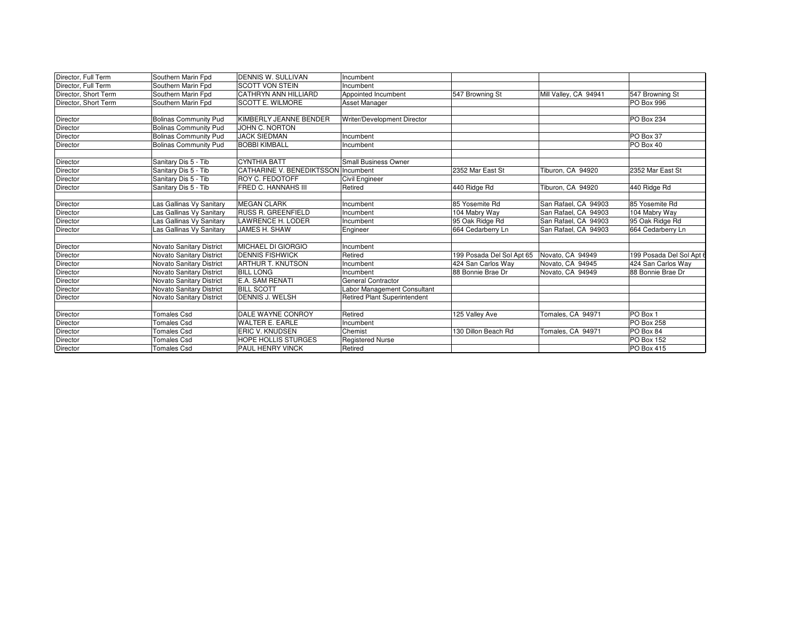| Director, Full Term  | Southern Marin Fpd              | <b>DENNIS W. SULLIVAN</b>           | Incumbent                           |                           |                       |                          |
|----------------------|---------------------------------|-------------------------------------|-------------------------------------|---------------------------|-----------------------|--------------------------|
| Director, Full Term  | Southern Marin Fpd              | <b>SCOTT VON STEIN</b>              | Incumbent                           |                           |                       |                          |
| Director, Short Term | Southern Marin Fpd              | <b>CATHRYN ANN HILLIARD</b>         | Appointed Incumbent                 | 547 Browning St           | Mill Valley, CA 94941 | 547 Browning St          |
|                      |                                 | <b>SCOTT E. WILMORE</b>             |                                     |                           |                       |                          |
| Director, Short Term | Southern Marin Fpd              |                                     | Asset Manager                       |                           |                       | PO Box 996               |
|                      |                                 |                                     |                                     |                           |                       |                          |
| Director             | <b>Bolinas Community Pud</b>    | KIMBERLY JEANNE BENDER              | Writer/Development Director         |                           |                       | PO Box 234               |
| Director             | <b>Bolinas Community Pud</b>    | JOHN C. NORTON                      |                                     |                           |                       |                          |
| Director             | <b>Bolinas Community Pud</b>    | <b>JACK SIEDMAN</b>                 | Incumbent                           |                           |                       | PO Box 37                |
| Director             | <b>Bolinas Community Pud</b>    | <b>BOBBI KIMBALL</b>                | Incumbent                           |                           |                       | PO Box 40                |
| Director             | Sanitary Dis 5 - Tib            | <b>CYNTHIA BATT</b>                 | <b>Small Business Owner</b>         |                           |                       |                          |
| Director             | Sanitary Dis 5 - Tib            | CATHARINE V. BENEDIKTSSON Incumbent |                                     | 2352 Mar East St          | Tiburon, CA 94920     | 2352 Mar East St         |
| Director             | Sanitary Dis 5 - Tib            | <b>ROY C. FEDOTOFF</b>              | Civil Engineer                      |                           |                       |                          |
| Director             | Sanitary Dis 5 - Tib            | <b>FRED C. HANNAHS III</b>          | Retired                             | 440 Ridge Rd              | Tiburon, CA 94920     | 440 Ridge Rd             |
| Director             | as Gallinas Vy Sanitary         | <b>MEGAN CLARK</b>                  | Incumbent                           | 85 Yosemite Rd            | San Rafael, CA 94903  | 85 Yosemite Rd           |
| Director             | as Gallinas Vy Sanitary         | <b>RUSS R. GREENFIELD</b>           | Incumbent                           | 104 Mabry Way             | San Rafael, CA 94903  | 104 Mabry Way            |
| Director             | as Gallinas Vy Sanitary         | <b>LAWRENCE H. LODER</b>            | Incumbent                           | 95 Oak Ridge Rd           | San Rafael, CA 94903  | 95 Oak Ridge Rd          |
| Director             | as Gallinas Vy Sanitary         | JAMES H. SHAW                       | Engineer                            | 664 Cedarberry Ln         | San Rafael, CA 94903  | 664 Cedarberry Ln        |
|                      |                                 |                                     |                                     |                           |                       |                          |
| <b>Director</b>      | <b>Novato Sanitary District</b> | <b>MICHAEL DI GIORGIO</b>           | Incumbent                           |                           |                       |                          |
| Director             | <b>Novato Sanitary District</b> | <b>DENNIS FISHWICK</b>              | Retired                             | 199 Posada Del Sol Apt 65 | Novato, CA 94949      | 199 Posada Del Sol Apt 6 |
| Director             | <b>Novato Sanitary District</b> | <b>ARTHUR T. KNUTSON</b>            | Incumbent                           | 424 San Carlos Way        | Novato, CA 94945      | 424 San Carlos Way       |
| Director             | Novato Sanitary District        | <b>BILL LONG</b>                    | Incumbent                           | 88 Bonnie Brae Dr         | Novato, CA 94949      | 88 Bonnie Brae Dr        |
| Director             | <b>Novato Sanitary District</b> | <b>E.A. SAM RENATI</b>              | <b>General Contractor</b>           |                           |                       |                          |
| Director             | Novato Sanitary District        | <b>BILL SCOTT</b>                   | Labor Management Consultant         |                           |                       |                          |
| <b>Director</b>      | Novato Sanitary District        | DENNIS J. WELSH                     | <b>Retired Plant Superintendent</b> |                           |                       |                          |
| Director             | <b>Tomales Csd</b>              | DALE WAYNE CONROY                   | Retired                             | 125 Valley Ave            | Tomales, CA 94971     | PO Box 1                 |
| Director             | <b>Tomales Csd</b>              | <b>WALTER E. EARLE</b>              | Incumbent                           |                           |                       | PO Box 258               |
| Director             | <b>Tomales Csd</b>              | <b>ERIC V. KNUDSEN</b>              | Chemist                             | 130 Dillon Beach Rd       | Tomales, CA 94971     | PO Box 84                |
| Director             | <b>Tomales Csd</b>              | <b>HOPE HOLLIS STURGES</b>          | <b>Registered Nurse</b>             |                           |                       | <b>PO Box 152</b>        |
| Director             | <b>Tomales Csd</b>              | <b>PAUL HENRY VINCK</b>             | Retired                             |                           |                       | PO Box 415               |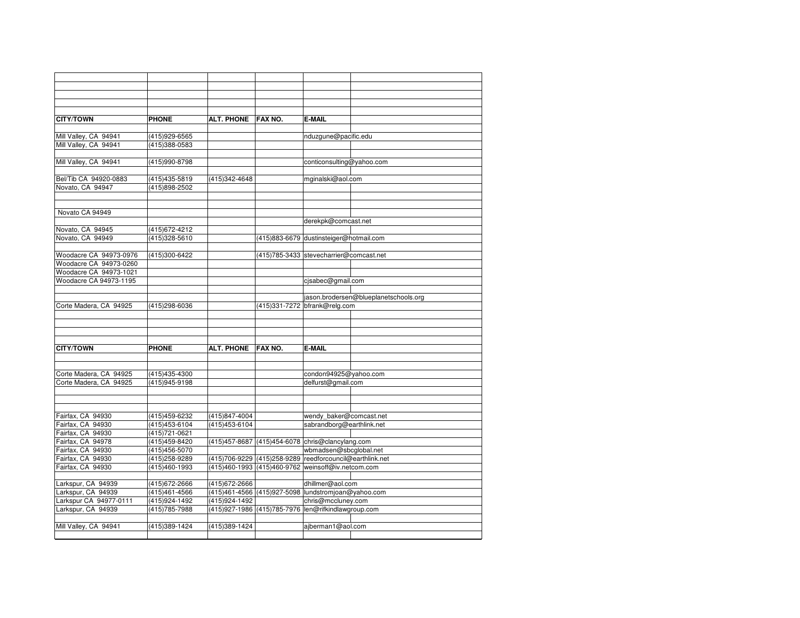| <b>CITY/TOWN</b>       | <b>PHONE</b>   | ALT. PHONE FAX NO. |                                                     | <b>E-MAIL</b>                           |                                       |
|------------------------|----------------|--------------------|-----------------------------------------------------|-----------------------------------------|---------------------------------------|
|                        |                |                    |                                                     |                                         |                                       |
| Mill Valley, CA 94941  | (415)929-6565  |                    |                                                     | nduzgune@pacific.edu                    |                                       |
| Mill Valley, CA 94941  | (415)388-0583  |                    |                                                     |                                         |                                       |
|                        |                |                    |                                                     |                                         |                                       |
| Mill Valley, CA 94941  | (415)990-8798  |                    |                                                     | conticonsulting@yahoo.com               |                                       |
|                        |                |                    |                                                     |                                         |                                       |
| Bel/Tib CA 94920-0883  | (415)435-5819  | (415)342-4648      |                                                     | mginalski@aol.com                       |                                       |
| Novato, CA 94947       | (415)898-2502  |                    |                                                     |                                         |                                       |
|                        |                |                    |                                                     |                                         |                                       |
|                        |                |                    |                                                     |                                         |                                       |
| Novato CA 94949        |                |                    |                                                     |                                         |                                       |
|                        |                |                    |                                                     | derekpk@comcast.net                     |                                       |
| Novato, CA 94945       | (415) 672-4212 |                    |                                                     |                                         |                                       |
| Novato, CA 94949       | (415)328-5610  |                    |                                                     | (415)883-6679 dustinsteiger@hotmail.com |                                       |
|                        |                |                    |                                                     |                                         |                                       |
| Woodacre CA 94973-0976 | (415)300-6422  |                    |                                                     | (415)785-3433 stevecharrier@comcast.net |                                       |
| Woodacre CA 94973-0260 |                |                    |                                                     |                                         |                                       |
| Woodacre CA 94973-1021 |                |                    |                                                     |                                         |                                       |
| Woodacre CA 94973-1195 |                |                    |                                                     | cjsabec@gmail.com                       |                                       |
|                        |                |                    |                                                     |                                         |                                       |
|                        |                |                    |                                                     |                                         | jason.brodersen@blueplanetschools.org |
| Corte Madera, CA 94925 | (415)298-6036  |                    |                                                     | (415)331-7272 bfrank@relg.com           |                                       |
|                        |                |                    |                                                     |                                         |                                       |
|                        |                |                    |                                                     |                                         |                                       |
|                        |                |                    |                                                     |                                         |                                       |
|                        |                |                    |                                                     |                                         |                                       |
| <b>CITY/TOWN</b>       | <b>PHONE</b>   | <b>ALT. PHONE</b>  | FAX NO.                                             | <b>E-MAIL</b>                           |                                       |
|                        |                |                    |                                                     |                                         |                                       |
|                        |                |                    |                                                     |                                         |                                       |
| Corte Madera, CA 94925 | (415)435-4300  |                    |                                                     | condon94925@yahoo.com                   |                                       |
| Corte Madera, CA 94925 | (415)945-9198  |                    |                                                     | delfurst@gmail.com                      |                                       |
|                        |                |                    |                                                     |                                         |                                       |
|                        |                |                    |                                                     |                                         |                                       |
|                        |                |                    |                                                     |                                         |                                       |
| Fairfax, CA 94930      | (415)459-6232  | (415)847-4004      |                                                     | wendy_baker@comcast.net                 |                                       |
| Fairfax, CA 94930      | (415)453-6104  | (415) 453-6104     |                                                     | sabrandborg@earthlink.net               |                                       |
| Fairfax, CA 94930      | (415)721-0621  |                    |                                                     |                                         |                                       |
| Fairfax, CA 94978      | (415)459-8420  |                    | (415)457-8687 (415)454-6078 chris@clancylang.com    |                                         |                                       |
| Fairfax, CA 94930      | (415)456-5070  |                    |                                                     | wbmadsen@sbcqlobal.net                  |                                       |
| Fairfax, CA 94930      | (415)258-9289  |                    | (415) 706-9229 (415) 258-9289                       | reedforcouncil@earthlink.net            |                                       |
| Fairfax, CA 94930      | (415)460-1993  |                    | (415)460-1993 (415)460-9762 weinsoff@iv.netcom.com  |                                         |                                       |
|                        |                |                    |                                                     |                                         |                                       |
| Larkspur, CA 94939     | (415)672-2666  | (415) 672-2666     |                                                     | dhillmer@aol.com                        |                                       |
| Larkspur, CA 94939     | (415)461-4566  |                    | (415)461-4566 (415)927-5098 lundstromjoan@yahoo.com |                                         |                                       |
| Larkspur CA 94977-0111 | (415) 924-1492 | (415) 924-1492     |                                                     | chris@mccluney.com                      |                                       |
| Larkspur, CA 94939     | (415)785-7988  |                    | (415)927-1986 (415)785-7976 len@rifkindlawgroup.com |                                         |                                       |
|                        |                |                    |                                                     |                                         |                                       |
| Mill Valley, CA 94941  | (415)389-1424  | (415)389-1424      |                                                     | ajberman1@aol.com                       |                                       |
|                        |                |                    |                                                     |                                         |                                       |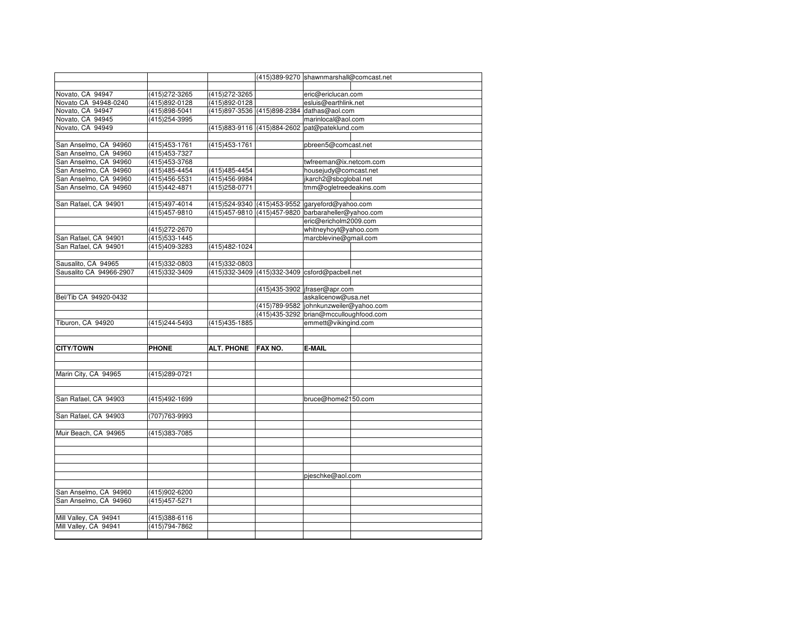|                         |                                 |                   |         | (415)389-9270 shawnmarshall@comcast.net             |  |
|-------------------------|---------------------------------|-------------------|---------|-----------------------------------------------------|--|
|                         |                                 |                   |         |                                                     |  |
| Novato, CA 94947        | (415) 272-3265                  | (415) 272-3265    |         | eric@ericlucan.com                                  |  |
| Novato CA 94948-0240    | (415)892-0128                   | (415)892-0128     |         | esluis@earthlink.net                                |  |
| Novato, CA 94947        | (415)898-5041                   |                   |         | (415)897-3536 (415)898-2384 dathas@aol.com          |  |
| Novato, CA 94945        | (415) 254-3995                  |                   |         | marinlocal@aol.com                                  |  |
| Novato, CA 94949        |                                 |                   |         | (415)883-9116 (415)884-2602 pat@pateklund.com       |  |
|                         |                                 |                   |         |                                                     |  |
| San Anselmo, CA 94960   | (415) 453-1761                  | (415) 453-1761    |         | pbreen5@comcast.net                                 |  |
| San Anselmo, CA 94960   | (415) 453-7327                  |                   |         |                                                     |  |
| San Anselmo, CA 94960   | (415) 453-3768                  |                   |         | twfreeman@ix.netcom.com                             |  |
| San Anselmo, CA 94960   | (415) 485-4454                  | (415) 485-4454    |         | housejudy@comcast.net                               |  |
| San Anselmo, CA 94960   | (415)456-5531                   | (415) 456-9984    |         | jkarch2@sbcglobal.net                               |  |
| San Anselmo, CA 94960   | (415) 442-4871                  | (415) 258-0771    |         | tmm@ogletreedeakins.com                             |  |
|                         |                                 |                   |         |                                                     |  |
| San Rafael, CA 94901    | (415)497-4014                   |                   |         | (415)524-9340 (415)453-9552 garyeford@yahoo.com     |  |
|                         | (415) 457-9810                  |                   |         | (415)457-9810 (415)457-9820 barbaraheller@yahoo.com |  |
|                         |                                 |                   |         | eric@ericholm2009.com                               |  |
|                         | (415) 272-2670                  |                   |         | whitneyhoyt@yahoo.com                               |  |
| San Rafael, CA 94901    | (415)533-1445                   |                   |         | marcblevine@gmail.com                               |  |
| San Rafael, CA 94901    | (415)409-3283                   | (415)482-1024     |         |                                                     |  |
|                         |                                 |                   |         |                                                     |  |
| Sausalito, CA 94965     | (415)332-0803                   | (415)332-0803     |         |                                                     |  |
| Sausalito CA 94966-2907 | (415)332-3409                   |                   |         | (415)332-3409 (415)332-3409 csford@pacbell.net      |  |
|                         |                                 |                   |         |                                                     |  |
|                         |                                 |                   |         | (415)435-3902   jfraser@apr.com                     |  |
| Bel/Tib CA 94920-0432   |                                 |                   |         | askalicenow@usa.net                                 |  |
|                         |                                 |                   |         | (415)789-9582 johnkunzweiler@yahoo.com              |  |
|                         |                                 |                   |         | (415)435-3292 brian@mcculloughfood.com              |  |
| Tiburon, CA 94920       | (415) 244-5493                  | (415) 435-1885    |         | emmett@vikingind.com                                |  |
|                         |                                 |                   |         |                                                     |  |
|                         |                                 |                   |         |                                                     |  |
| <b>CITY/TOWN</b>        | <b>PHONE</b>                    | <b>ALT. PHONE</b> | FAX NO. | <b>E-MAIL</b>                                       |  |
|                         |                                 |                   |         |                                                     |  |
|                         |                                 |                   |         |                                                     |  |
| Marin City, CA 94965    | (415)289-0721                   |                   |         |                                                     |  |
|                         |                                 |                   |         |                                                     |  |
|                         |                                 |                   |         |                                                     |  |
| San Rafael, CA 94903    | (415)492-1699                   |                   |         | bruce@home2150.com                                  |  |
|                         |                                 |                   |         |                                                     |  |
| San Rafael, CA 94903    | (707)763-9993                   |                   |         |                                                     |  |
|                         |                                 |                   |         |                                                     |  |
| Muir Beach, CA 94965    | (415)383-7085                   |                   |         |                                                     |  |
|                         |                                 |                   |         |                                                     |  |
|                         |                                 |                   |         |                                                     |  |
|                         |                                 |                   |         |                                                     |  |
|                         |                                 |                   |         |                                                     |  |
|                         |                                 |                   |         | pjeschke@aol.com                                    |  |
|                         |                                 |                   |         |                                                     |  |
| San Anselmo, CA 94960   | (415)902-6200                   |                   |         |                                                     |  |
| San Anselmo, CA 94960   | (415) 457-5271                  |                   |         |                                                     |  |
| Mill Valley, CA 94941   |                                 |                   |         |                                                     |  |
| Mill Valley, CA 94941   | (415)388-6116<br>(415) 794-7862 |                   |         |                                                     |  |
|                         |                                 |                   |         |                                                     |  |
|                         |                                 |                   |         |                                                     |  |